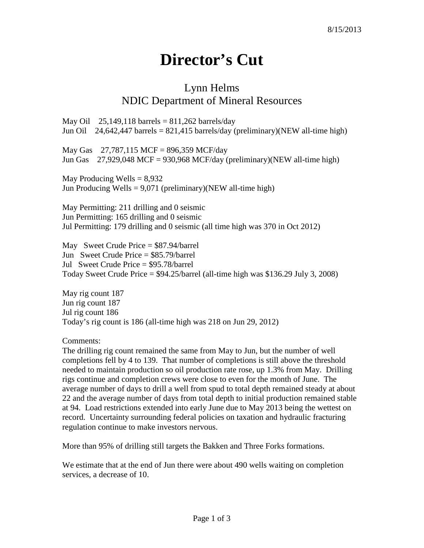## **Director's Cut**

## Lynn Helms NDIC Department of Mineral Resources

May Oil  $25,149,118$  barrels = 811,262 barrels/day Jun Oil 24,642,447 barrels =  $821,415$  barrels/day (preliminary)(NEW all-time high)

May Gas 27,787,115 MCF = 896,359 MCF/day Jun Gas  $27,929,048$  MCF = 930,968 MCF/day (preliminary)(NEW all-time high)

May Producing Wells  $= 8,932$ Jun Producing Wells =  $9,071$  (preliminary)(NEW all-time high)

May Permitting: 211 drilling and 0 seismic Jun Permitting: 165 drilling and 0 seismic Jul Permitting: 179 drilling and 0 seismic (all time high was 370 in Oct 2012)

May Sweet Crude Price = \$87.94/barrel Jun Sweet Crude Price = \$85.79/barrel Jul Sweet Crude Price = \$95.78/barrel Today Sweet Crude Price = \$94.25/barrel (all-time high was \$136.29 July 3, 2008)

May rig count 187 Jun rig count 187 Jul rig count 186 Today's rig count is 186 (all-time high was 218 on Jun 29, 2012)

Comments:

The drilling rig count remained the same from May to Jun, but the number of well completions fell by 4 to 139. That number of completions is still above the threshold needed to maintain production so oil production rate rose, up 1.3% from May. Drilling rigs continue and completion crews were close to even for the month of June. The average number of days to drill a well from spud to total depth remained steady at about 22 and the average number of days from total depth to initial production remained stable at 94. Load restrictions extended into early June due to May 2013 being the wettest on record. Uncertainty surrounding federal policies on taxation and hydraulic fracturing regulation continue to make investors nervous.

More than 95% of drilling still targets the Bakken and Three Forks formations.

We estimate that at the end of Jun there were about 490 wells waiting on completion services, a decrease of 10.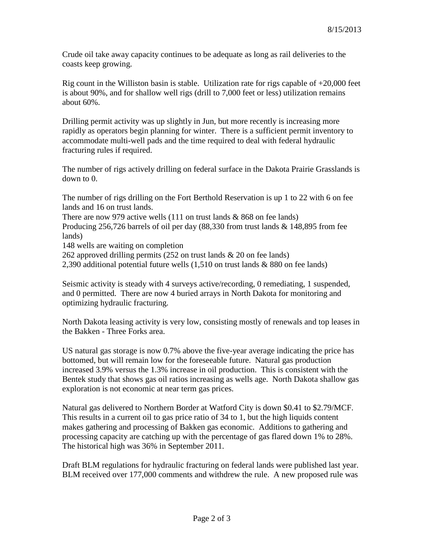Crude oil take away capacity continues to be adequate as long as rail deliveries to the coasts keep growing.

Rig count in the Williston basin is stable. Utilization rate for rigs capable of  $+20,000$  feet is about 90%, and for shallow well rigs (drill to 7,000 feet or less) utilization remains about 60%.

Drilling permit activity was up slightly in Jun, but more recently is increasing more rapidly as operators begin planning for winter. There is a sufficient permit inventory to accommodate multi-well pads and the time required to deal with federal hydraulic fracturing rules if required.

The number of rigs actively drilling on federal surface in the Dakota Prairie Grasslands is down to 0.

The number of rigs drilling on the Fort Berthold Reservation is up 1 to 22 with 6 on fee lands and 16 on trust lands.

There are now 979 active wells  $(111$  on trust lands  $& 868$  on fee lands)

Producing 256,726 barrels of oil per day (88,330 from trust lands & 148,895 from fee lands)

148 wells are waiting on completion

262 approved drilling permits (252 on trust lands & 20 on fee lands)

2,390 additional potential future wells (1,510 on trust lands & 880 on fee lands)

Seismic activity is steady with 4 surveys active/recording, 0 remediating, 1 suspended, and 0 permitted. There are now 4 buried arrays in North Dakota for monitoring and optimizing hydraulic fracturing.

North Dakota leasing activity is very low, consisting mostly of renewals and top leases in the Bakken - Three Forks area.

US natural gas storage is now 0.7% above the five-year average indicating the price has bottomed, but will remain low for the foreseeable future. Natural gas production increased 3.9% versus the 1.3% increase in oil production. This is consistent with the Bentek study that shows gas oil ratios increasing as wells age. North Dakota shallow gas exploration is not economic at near term gas prices.

Natural gas delivered to Northern Border at Watford City is down \$0.41 to \$2.79/MCF. This results in a current oil to gas price ratio of 34 to 1, but the high liquids content makes gathering and processing of Bakken gas economic. Additions to gathering and processing capacity are catching up with the percentage of gas flared down 1% to 28%. The historical high was 36% in September 2011.

Draft BLM regulations for hydraulic fracturing on federal lands were published last year. BLM received over 177,000 comments and withdrew the rule. A new proposed rule was